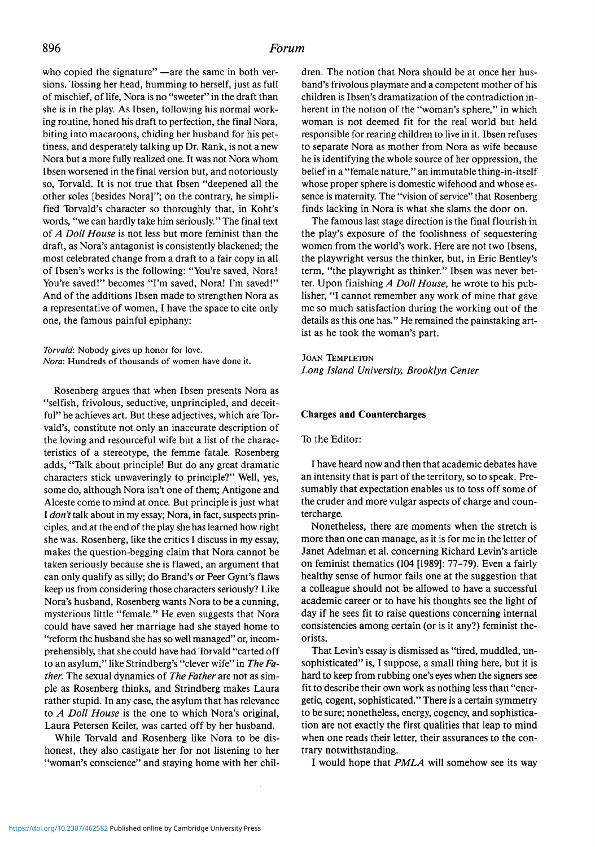who copied the signature" —are the same in both versions. Tossing her head, humming to herself, just as full of mischief, of life, Nora is no "sweeter" in the draft than she is in the play. As Ibsen, following his normal working routine, honed his draft to perfection, the final Nora, biting into macaroons, chiding her husband for his pettiness, and desperately talking up Dr. Rank, is not a new Nora but a more fully realized one. It was not Nora whom Ibsen worsened in the final version but, and notoriously so, Torvald. It is not true that Ibsen "deepened all the other roles [besides Nora]"; on the contrary, he simplified Torvald's character so thoroughly that, in Koht's words, "we can hardly take him seriously." The final text of *A Doll House* is not less but more feminist than the draft, as Nora's antagonist is consistently blackened; the most celebrated change from a draft to a fair copy in all of Ibsen's works is the following: "You're saved, Nora! You're saved!" becomes "I'm saved, Nora! I'm saved!" And of the additions Ibsen made to strengthen Nora as a representative of women, I have the space to cite only one, the famous painful epiphany:

*Torvald'.* Nobody gives up honor for love. *Nora'.* Hundreds of thousands of women have done it.

Rosenberg argues that when Ibsen presents Nora as "selfish, frivolous, seductive, unprincipled, and deceitful" he achieves art. But these adjectives, which are Torvald's, constitute not only an inaccurate description of the loving and resourceful wife but a list of the characteristics of a stereotype, the femme fatale. Rosenberg adds, "Talk about principle! But do any great dramatic characters stick unwaveringly to principle?" Well, yes, some do, although Nora isn't one of them; Antigone and Alceste come to mind at once. But principle is just what I *don't*talk about in my essay; Nora, in fact, suspects principles, and at the end of the play she has learned how right she was. Rosenberg, like the critics I discuss in my essay, makes the question-begging claim that Nora cannot be taken seriously because she is flawed, an argument that can only qualify as silly; do Brand's or Peer Gynt's flaws keep us from considering those characters seriously? Like Nora's husband, Rosenberg wants Nora to be a cunning, mysterious little "female." He even suggests that Nora could have saved her marriage had she stayed home to "reform the husband she has so well managed" or, incomprehensibly, that she could have had Torvald "carted off to an asylum," like Strindberg's "clever wife" in *TheFather.* The sexual dynamics of *The Father* are not as simple as Rosenberg thinks, and Strindberg makes Laura rather stupid. In any case, the asylum that has relevance to *A Doll House* is the one to which Nora'<sup>s</sup> original, Laura Petersen Keiler, was carted off by her husband.

While Torvald and Rosenberg like Nora to be dishonest, they also castigate her for not listening to her "woman's conscience" and staying home with her chil-

dren. The notion that Nora should be at once her husband's frivolous playmate and a competent mother of his children is Ibsen's dramatization of the contradiction inherent in the notion of the "woman's sphere," in which woman is not deemed fit for the real world but held responsible for rearing children to live in it. Ibsen refuses to separate Nora as mother from Nora as wife because he is identifying the whole source of her oppression, the belief in a "female nature," an immutable thing-in-itself whose proper sphere is domestic wifehood and whose essence is maternity. The "vision of service" that Rosenberg finds lacking in Nora is what she slams the door on.

The famous last stage direction is the final flourish in the play's exposure of the foolishness of sequestering women from the world's work. Here are not two Ibsens, the playwright versus the thinker, but, in Eric Bentley's term, "the playwright as thinker." Ibsen was never better. Upon finishing *A Doll House,* he wrote to his publisher, "I cannot remember any work of mine that gave me so much satisfaction during the working out of the details as this one has." He remained the painstaking artist as he took the woman's part.

Joan Templeton *Long Island University, Brooklyn Center*

#### **Charges and Countercharges**

To the Editor:

I have heard now and then that academic debates have an intensity that is part of the territory, so to speak. Presumably that expectation enables us to toss off some of the cruder and more vulgar aspects of charge and countercharge.

Nonetheless, there are moments when the stretch is more than one can manage, as it is for me in the letter of Janet Adelman et al. concerning Richard Levin's article on feminist thematics (104 [1989]: 77-79). Even a fairly healthy sense of humor fails one at the suggestion that a colleague should not be allowed to have a successful academic career or to have his thoughts see the light of day if he sees fit to raise questions concerning internal consistencies among certain (or is it any?) feminist theorists.

That Levin's essay is dismissed as "tired, muddled, unsophisticated" is, I suppose, a small thing here, but it is hard to keep from rubbing one's eyes when the signers see fit to describe their own work as nothing less than "energetic, cogent, sophisticated." There is a certain symmetry to be sure; nonetheless, energy, cogency, and sophistication are not exactly the first qualities that leap to mind when one reads their letter, their assurances to the contrary notwithstanding.

I would hope that *PMLA* will somehow see its way